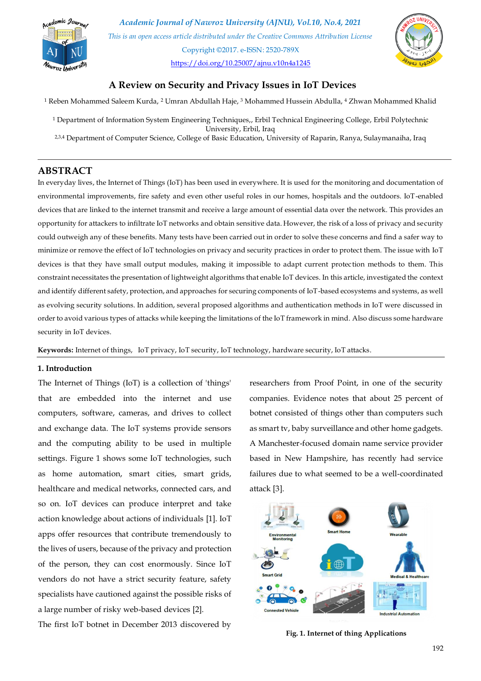

*Academic Journal of Nawroz University (AJNU), Vol.10, No.4, 2021 This is an open access article distributed under the Creative Commons Attribution License* Copyright ©2017. e-ISSN: 2520-789X <https://doi.org/10.25007/ajnu.v10n4a1245>



# **A Review on Security and Privacy Issues in IoT Devices**

<sup>1</sup> Reben Mohammed Saleem Kurda, <sup>2</sup> Umran Abdullah Haje, <sup>3</sup> Mohammed Hussein Abdulla, <sup>4</sup> Zhwan Mohammed Khalid

- <sup>1</sup> Department of Information System Engineering Techniques,, Erbil Technical Engineering College, Erbil Polytechnic University, Erbil, Iraq
- 2,3,4 Department of Computer Science, College of Basic Education, University of Raparin, Ranya, Sulaymanaiha, Iraq

# **ABSTRACT**

In everyday lives, the Internet of Things (IoT) has been used in everywhere. It is used for the monitoring and documentation of environmental improvements, fire safety and even other useful roles in our homes, hospitals and the outdoors. IoT-enabled devices that are linked to the internet transmit and receive a large amount of essential data over the network. This provides an opportunity for attackers to infiltrate IoT networks and obtain sensitive data. However, the risk of a loss of privacy and security could outweigh any of these benefits. Many tests have been carried out in order to solve these concerns and find a safer way to minimize or remove the effect of IoT technologies on privacy and security practices in order to protect them. The issue with IoT devices is that they have small output modules, making it impossible to adapt current protec tion methods to them. This constraint necessitates the presentation of lightweight algorithms that enable IoT devices. In this article, investigated the context and identify different safety, protection, and approaches for securing components of IoT-based ecosystems and systems, as well as evolving security solutions. In addition, several proposed algorithms and authentication methods in IoT were discussed in order to avoid various types of attacks while keeping the limitations of the IoT framework in mind. Also discuss some hardware security in IoT devices.

**Keywords:** Internet of things, IoT privacy, IoT security, IoT technology, hardware security, IoT attacks.

### **1. Introduction**

The Internet of Things (IoT) is a collection of 'things' that are embedded into the internet and use computers, software, cameras, and drives to collect and exchange data. The IoT systems provide sensors and the computing ability to be used in multiple settings. Figure 1 shows some IoT technologies, such as home automation, smart cities, smart grids, healthcare and medical networks, connected cars, and so on. IoT devices can produce interpret and take action knowledge about actions of individuals [\[1\]](#page-11-0). IoT apps offer resources that contribute tremendously to the lives of users, because of the privacy and protection of the person, they can cost enormously. Since IoT vendors do not have a strict security feature, safety specialists have cautioned against the possible risks of a large number of risky web-based devices [\[2\]](#page-11-1).

The first IoT botnet in December 2013 discovered by

researchers from Proof Point, in one of the security companies. Evidence notes that about 25 percent of botnet consisted of things other than computers such as smart tv, baby surveillance and other home gadgets. A Manchester-focused domain name service provider based in New Hampshire, has recently had service failures due to what seemed to be a well-coordinated attack [\[3\]](#page-11-2).



**Fig. 1. Internet of thing Applications**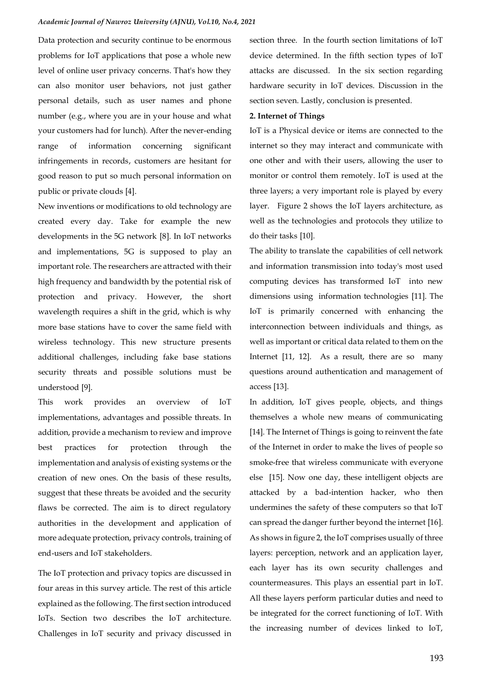Data protection and security continue to be enormous problems for IoT applications that pose a whole new level of online user privacy concerns. That's how they can also monitor user behaviors, not just gather personal details, such as user names and phone number (e.g., where you are in your house and what your customers had for lunch). After the never-ending range of information concerning significant infringements in records, customers are hesitant for good reason to put so much personal information on public or private clouds [\[4\]](#page-11-3).

New inventions or modifications to old technology are created every day. Take for example the new developments in the 5G network [\[8\]](#page-11-4). In IoT networks and implementations, 5G is supposed to play an important role. The researchers are attracted with their high frequency and bandwidth by the potential risk of protection and privacy. However, the short wavelength requires a shift in the grid, which is why more base stations have to cover the same field with wireless technology. This new structure presents additional challenges, including fake base stations security threats and possible solutions must be understood [\[9\]](#page-11-5).

This work provides an overview of IoT implementations, advantages and possible threats. In addition, provide a mechanism to review and improve best practices for protection through the implementation and analysis of existing systems or the creation of new ones. On the basis of these results, suggest that these threats be avoided and the security flaws be corrected. The aim is to direct regulatory authorities in the development and application of more adequate protection, privacy controls, training of end-users and IoT stakeholders.

The IoT protection and privacy topics are discussed in four areas in this survey article. The rest of this article explained as the following. The first section introduced IoTs. Section two describes the IoT architecture. Challenges in IoT security and privacy discussed in section three. In the fourth section limitations of IoT device determined. In the fifth section types of IoT attacks are discussed. In the six section regarding hardware security in IoT devices. Discussion in the section seven. Lastly, conclusion is presented.

#### **2. Internet of Things**

IoT is a Physical device or items are connected to the internet so they may interact and communicate with one other and with their users, allowing the user to monitor or control them remotely. IoT is used at the three layers; a very important role is played by every layer. Figure 2 shows the IoT layers architecture, as well as the technologies and protocols they utilize to do their tasks [\[10\]](#page-11-6).

The ability to translate the capabilities of cell network and information transmission into today's most used computing devices has transformed IoT into new dimensions using information technologies [\[11\]](#page-11-7). The IoT is primarily concerned with enhancing the interconnection between individuals and things, as well as important or critical data related to them on the Internet [\[11,](#page-11-7) [12\]](#page-11-8). As a result, there are so many questions around authentication and management of access [\[13\]](#page-11-9).

In addition, IoT gives people, objects, and things themselves a whole new means of communicating [\[14\]](#page-11-10). The Internet of Things is going to reinvent the fate of the Internet in order to make the lives of people so smoke-free that wireless communicate with everyone else [\[15\]](#page-11-11). Now one day, these intelligent objects are attacked by a bad-intention hacker, who then undermines the safety of these computers so that IoT can spread the danger further beyond the internet [\[16\]](#page-12-0). As shows in figure 2, the IoT comprises usually of three layers: perception, network and an application layer, each layer has its own security challenges and countermeasures. This plays an essential part in IoT. All these layers perform particular duties and need to be integrated for the correct functioning of IoT. With the increasing number of devices linked to IoT,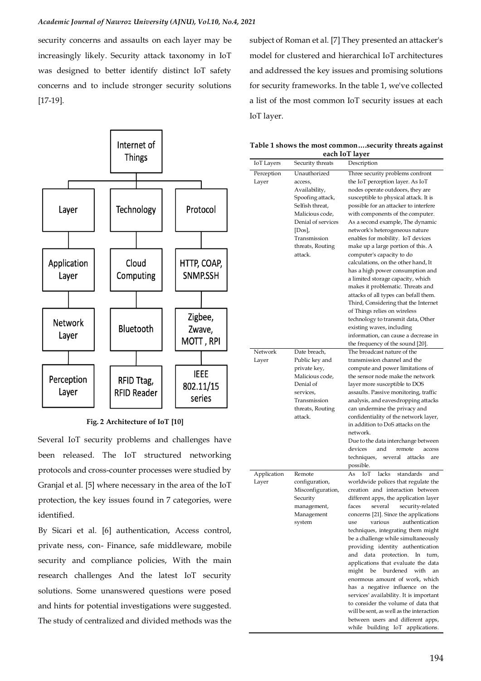security concerns and assaults on each layer may be increasingly likely. Security attack taxonomy in IoT was designed to better identify distinct IoT safety concerns and to include stronger security solutions [\[17-19\]](#page-12-1).



### **Fig. 2 Architecture of IoT [\[10\]](#page-11-6)**

Several IoT security problems and challenges have been released. The IoT structured networking protocols and cross-counter processes were studied by Granjal et al. [\[5\]](#page-11-12) where necessary in the area of the IoT protection, the key issues found in 7 categories, were identified.

By Sicari et al. [\[6\]](#page-11-13) authentication, Access control, private ness, con- Finance, safe middleware, mobile security and compliance policies, With the main research challenges And the latest IoT security solutions. Some unanswered questions were posed and hints for potential investigations were suggested. The study of centralized and divided methods was the

subject of Roman et al. [\[7\]](#page-11-14) They presented an attacker's model for clustered and hierarchical IoT architectures and addressed the key issues and promising solutions for security frameworks. In the table 1, we've collected a list of the most common IoT security issues at each IoT layer.

| Table 1 shows the most commonsecurity threats against |
|-------------------------------------------------------|
| each IoT laver                                        |

| each IoT layer |                                |                                                                   |  |  |
|----------------|--------------------------------|-------------------------------------------------------------------|--|--|
| IoT Layers     | Security threats               | Description                                                       |  |  |
| Perception     | Unauthorized                   | Three security problems confront                                  |  |  |
| Layer          | access,                        | the IoT perception layer. As IoT                                  |  |  |
|                | Availability,                  | nodes operate outdoors, they are                                  |  |  |
|                | Spoofing attack,               | susceptible to physical attack. It is                             |  |  |
|                | Selfish threat,                | possible for an attacker to interfere                             |  |  |
|                | Malicious code,                | with components of the computer.                                  |  |  |
|                | Denial of services             | As a second example, The dynamic                                  |  |  |
|                | $[$ Dos $],$                   | network's heterogeneous nature                                    |  |  |
|                | Transmission                   | enables for mobility. IoT devices                                 |  |  |
|                | threats, Routing               | make up a large portion of this. A                                |  |  |
|                | attack.                        | computer's capacity to do<br>calculations, on the other hand, It  |  |  |
|                |                                | has a high power consumption and                                  |  |  |
|                |                                | a limited storage capacity, which                                 |  |  |
|                |                                | makes it problematic. Threats and                                 |  |  |
|                |                                | attacks of all types can befall them.                             |  |  |
|                |                                | Third, Considering that the Internet                              |  |  |
|                |                                | of Things relies on wireless                                      |  |  |
|                |                                | technology to transmit data, Other                                |  |  |
|                |                                | existing waves, including                                         |  |  |
|                |                                | information, can cause a decrease in                              |  |  |
|                |                                | the frequency of the sound [20].                                  |  |  |
| Network        | Date breach,                   | The broadcast nature of the<br>transmission channel and the       |  |  |
| Layer          | Public key and<br>private key, | compute and power limitations of                                  |  |  |
|                | Malicious code,                | the sensor node make the network                                  |  |  |
|                | Denial of                      | layer more susceptible to DOS                                     |  |  |
|                | services,                      | assaults. Passive monitoring, traffic                             |  |  |
|                | Transmission                   | analysis, and eavesdropping attacks                               |  |  |
|                | threats, Routing               | can undermine the privacy and                                     |  |  |
|                | attack.                        | confidentiality of the network layer,                             |  |  |
|                |                                | in addition to DoS attacks on the                                 |  |  |
|                |                                | network.                                                          |  |  |
|                |                                | Due to the data interchange between                               |  |  |
|                |                                | and<br>remote<br>devices<br>access                                |  |  |
|                |                                | techniques,<br>several<br>attacks<br>are                          |  |  |
| Application    | Remote                         | possible.<br>lacks<br>standards<br>As<br>IоT<br>and               |  |  |
| Layer          | configuration,                 | worldwide polices that regulate the                               |  |  |
|                | Misconfiguration,              | creation and interaction between                                  |  |  |
|                | Security                       | different apps, the application layer                             |  |  |
|                | management,                    | several<br>security-related<br>faces                              |  |  |
|                | Management                     | concerns [21]. Since the applications                             |  |  |
|                | system                         | various<br>authentication<br>use                                  |  |  |
|                |                                | techniques, integrating them might                                |  |  |
|                |                                | be a challenge while simultaneously                               |  |  |
|                |                                | providing identity authentication                                 |  |  |
|                |                                | and data protection.<br>In turn,                                  |  |  |
|                |                                | applications that evaluate the data                               |  |  |
|                |                                | might<br>be<br>burdened<br>with<br>an                             |  |  |
|                |                                | enormous amount of work, which<br>has a negative influence on the |  |  |
|                |                                | services' availability. It is important                           |  |  |
|                |                                | to consider the volume of data that                               |  |  |
|                |                                | will be sent, as well as the interaction                          |  |  |
|                |                                | between users and different apps,                                 |  |  |
|                |                                | while building IoT applications.                                  |  |  |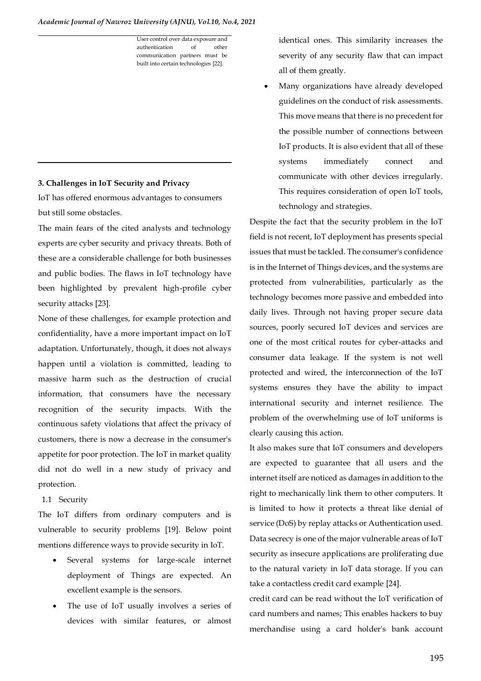#### *Academic Journal of Nawroz University (AJNU), Vol.10, No.4, 2021*

User control over data exposure and authentication of other communication partners must be built into certain technologies [\[22\]](#page-12-4).

# **3. Challenges in IoT Security and Privacy**

IoT has offered enormous advantages to consumers but still some obstacles.

The main fears of the cited analysts and technology experts are cyber security and privacy threats. Both of these are a considerable challenge for both businesses and public bodies. The flaws in IoT technology have been highlighted by prevalent high-profile cyber security attacks [\[23\]](#page-12-5).

None of these challenges, for example protection and confidentiality, have a more important impact on IoT adaptation. Unfortunately, though, it does not always happen until a violation is committed, leading to massive harm such as the destruction of crucial information, that consumers have the necessary recognition of the security impacts. With the continuous safety violations that affect the privacy of customers, there is now a decrease in the consumer's appetite for poor protection. The IoT in market quality did not do well in a new study of privacy and protection.

# 1.1 Security

The IoT differs from ordinary computers and is vulnerable to security problems [\[19\]](#page-12-6). Below point mentions difference ways to provide security in IoT.

- Several systems for large-scale internet deployment of Things are expected. An excellent example is the sensors.
- The use of IoT usually involves a series of devices with similar features, or almost

identical ones. This similarity increases the severity of any security flaw that can impact all of them greatly.

• Many organizations have already developed guidelines on the conduct of risk assessments. This move means that there is no precedent for the possible number of connections between IoT products. It is also evident that all of these systems immediately connect and communicate with other devices irregularly. This requires consideration of open IoT tools, technology and strategies.

Despite the fact that the security problem in the IoT field is not recent, IoT deployment has presents special issues that must be tackled. The consumer's confidence is in the Internet of Things devices, and the systems are protected from vulnerabilities, particularly as the technology becomes more passive and embedded into daily lives. Through not having proper secure data sources, poorly secured IoT devices and services are one of the most critical routes for cyber-attacks and consumer data leakage. If the system is not well protected and wired, the interconnection of the IoT systems ensures they have the ability to impact international security and internet resilience. The problem of the overwhelming use of IoT uniforms is clearly causing this action.

It also makes sure that IoT consumers and developers are expected to guarantee that all users and the internet itself are noticed as damages in addition to the right to mechanically link them to other computers. It is limited to how it protects a threat like denial of service (DoS) by replay attacks or Authentication used. Data secrecy is one of the major vulnerable areas of IoT security as insecure applications are proliferating due to the natural variety in IoT data storage. If you can take a contactless credit card example [\[24\]](#page-12-7).

credit card can be read without the IoT verification of card numbers and names; This enables hackers to buy merchandise using a card holder's bank account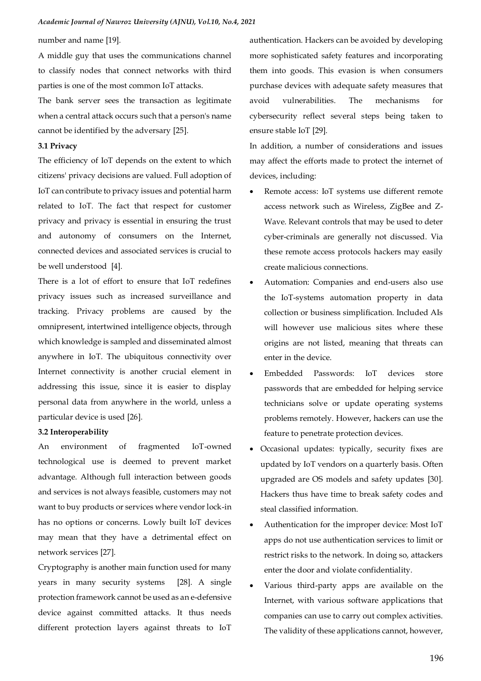number and name [\[19\]](#page-12-6).

A middle guy that uses the communications channel to classify nodes that connect networks with third parties is one of the most common IoT attacks.

The bank server sees the transaction as legitimate when a central attack occurs such that a person's name cannot be identified by the adversary [\[25\]](#page-12-8).

# **3.1 Privacy**

The efficiency of IoT depends on the extent to which citizens' privacy decisions are valued. Full adoption of IoT can contribute to privacy issues and potential harm related to IoT. The fact that respect for customer privacy and privacy is essential in ensuring the trust and autonomy of consumers on the Internet, connected devices and associated services is crucial to be well understood [\[4\]](#page-11-3).

There is a lot of effort to ensure that IoT redefines privacy issues such as increased surveillance and tracking. Privacy problems are caused by the omnipresent, intertwined intelligence objects, through which knowledge is sampled and disseminated almost anywhere in IoT. The ubiquitous connectivity over Internet connectivity is another crucial element in addressing this issue, since it is easier to display personal data from anywhere in the world, unless a particular device is used [\[26\]](#page-12-9).

#### **3.2 Interoperability**

An environment of fragmented IoT-owned technological use is deemed to prevent market advantage. Although full interaction between goods and services is not always feasible, customers may not want to buy products or services where vendor lock-in has no options or concerns. Lowly built IoT devices may mean that they have a detrimental effect on network services [\[27\]](#page-12-10).

Cryptography is another main function used for many years in many security systems [\[28\]](#page-12-11). A single protection framework cannot be used as an e-defensive device against committed attacks. It thus needs different protection layers against threats to IoT

authentication. Hackers can be avoided by developing more sophisticated safety features and incorporating them into goods. This evasion is when consumers purchase devices with adequate safety measures that avoid vulnerabilities. The mechanisms for cybersecurity reflect several steps being taken to ensure stable IoT [\[29\]](#page-12-12).

In addition, a number of considerations and issues may affect the efforts made to protect the internet of devices, including:

- Remote access: IoT systems use different remote access network such as Wireless, ZigBee and Z-Wave. Relevant controls that may be used to deter cyber-criminals are generally not discussed. Via these remote access protocols hackers may easily create malicious connections.
- Automation: Companies and end-users also use the IoT-systems automation property in data collection or business simplification. Included AIs will however use malicious sites where these origins are not listed, meaning that threats can enter in the device.
- Embedded Passwords: IoT devices store passwords that are embedded for helping service technicians solve or update operating systems problems remotely. However, hackers can use the feature to penetrate protection devices.
- Occasional updates: typically, security fixes are updated by IoT vendors on a quarterly basis. Often upgraded are OS models and safety updates [\[30\]](#page-12-13). Hackers thus have time to break safety codes and steal classified information.
- Authentication for the improper device: Most IoT apps do not use authentication services to limit or restrict risks to the network. In doing so, attackers enter the door and violate confidentiality.
- Various third-party apps are available on the Internet, with various software applications that companies can use to carry out complex activities. The validity of these applications cannot, however,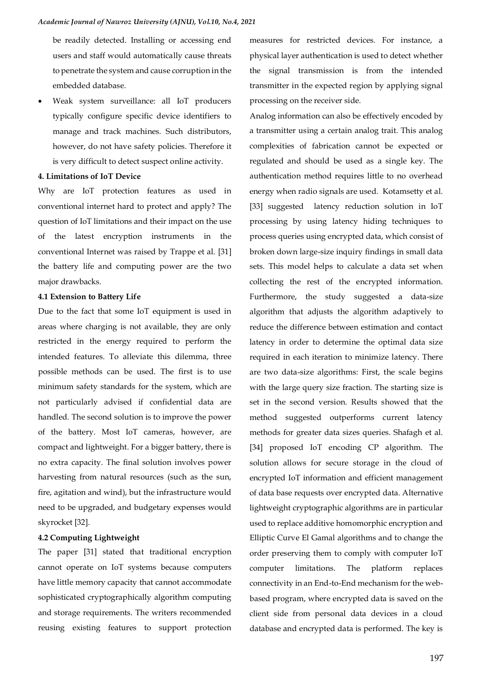be readily detected. Installing or accessing end users and staff would automatically cause threats to penetrate the system and cause corruption in the embedded database.

• Weak system surveillance: all IoT producers typically configure specific device identifiers to manage and track machines. Such distributors, however, do not have safety policies. Therefore it is very difficult to detect suspect online activity.

#### **4. Limitations of IoT Device**

Why are IoT protection features as used in conventional internet hard to protect and apply? The question of IoT limitations and their impact on the use of the latest encryption instruments in the conventional Internet was raised by Trappe et al. [\[31\]](#page-12-14) the battery life and computing power are the two major drawbacks.

#### **4.1 Extension to Battery Life**

Due to the fact that some IoT equipment is used in areas where charging is not available, they are only restricted in the energy required to perform the intended features. To alleviate this dilemma, three possible methods can be used. The first is to use minimum safety standards for the system, which are not particularly advised if confidential data are handled. The second solution is to improve the power of the battery. Most IoT cameras, however, are compact and lightweight. For a bigger battery, there is no extra capacity. The final solution involves power harvesting from natural resources (such as the sun, fire, agitation and wind), but the infrastructure would need to be upgraded, and budgetary expenses would skyrocket [\[32\]](#page-12-15).

## **4.2 Computing Lightweight**

The paper [\[31\]](#page-12-14) stated that traditional encryption cannot operate on IoT systems because computers have little memory capacity that cannot accommodate sophisticated cryptographically algorithm computing and storage requirements. The writers recommended reusing existing features to support protection

measures for restricted devices. For instance, a physical layer authentication is used to detect whether the signal transmission is from the intended transmitter in the expected region by applying signal processing on the receiver side.

Analog information can also be effectively encoded by a transmitter using a certain analog trait. This analog complexities of fabrication cannot be expected or regulated and should be used as a single key. The authentication method requires little to no overhead energy when radio signals are used. Kotamsetty et al. [\[33\]](#page-12-16) suggested latency reduction solution in IoT processing by using latency hiding techniques to process queries using encrypted data, which consist of broken down large-size inquiry findings in small data sets. This model helps to calculate a data set when collecting the rest of the encrypted information. Furthermore, the study suggested a data-size algorithm that adjusts the algorithm adaptively to reduce the difference between estimation and contact latency in order to determine the optimal data size required in each iteration to minimize latency. There are two data-size algorithms: First, the scale begins with the large query size fraction. The starting size is set in the second version. Results showed that the method suggested outperforms current latency methods for greater data sizes queries. Shafagh et al. [\[34\]](#page-12-17) proposed IoT encoding CP algorithm. The solution allows for secure storage in the cloud of encrypted IoT information and efficient management of data base requests over encrypted data. Alternative lightweight cryptographic algorithms are in particular used to replace additive homomorphic encryption and Elliptic Curve El Gamal algorithms and to change the order preserving them to comply with computer IoT computer limitations. The platform replaces connectivity in an End-to-End mechanism for the webbased program, where encrypted data is saved on the client side from personal data devices in a cloud database and encrypted data is performed. The key is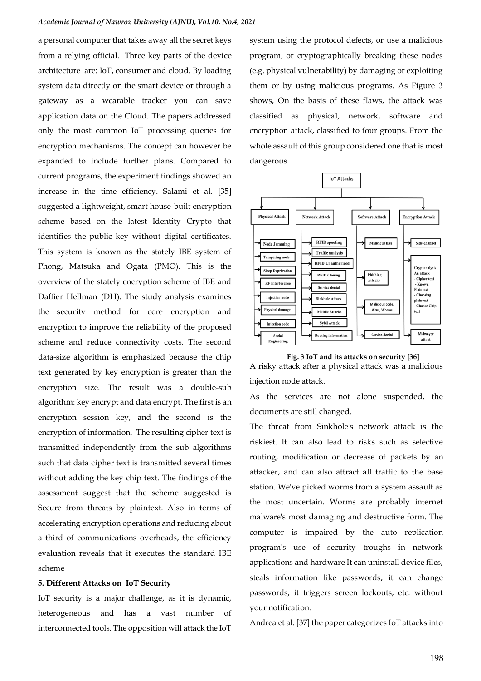a personal computer that takes away all the secret keys from a relying official. Three key parts of the device architecture are: IoT, consumer and cloud. By loading system data directly on the smart device or through a gateway as a wearable tracker you can save application data on the Cloud. The papers addressed only the most common IoT processing queries for encryption mechanisms. The concept can however be expanded to include further plans. Compared to current programs, the experiment findings showed an increase in the time efficiency. Salami et al. [\[35\]](#page-12-18) suggested a lightweight, smart house-built encryption scheme based on the latest Identity Crypto that identifies the public key without digital certificates. This system is known as the stately IBE system of Phong, Matsuka and Ogata (PMO). This is the overview of the stately encryption scheme of IBE and Daffier Hellman (DH). The study analysis examines the security method for core encryption and encryption to improve the reliability of the proposed scheme and reduce connectivity costs. The second data-size algorithm is emphasized because the chip text generated by key encryption is greater than the encryption size. The result was a double-sub algorithm: key encrypt and data encrypt. The first is an encryption session key, and the second is the encryption of information. The resulting cipher text is transmitted independently from the sub algorithms such that data cipher text is transmitted several times without adding the key chip text. The findings of the assessment suggest that the scheme suggested is Secure from threats by plaintext. Also in terms of accelerating encryption operations and reducing about a third of communications overheads, the efficiency evaluation reveals that it executes the standard IBE scheme

#### **5. Different Attacks on IoT Security**

IoT security is a major challenge, as it is dynamic, heterogeneous and has a vast number of interconnected tools. The opposition will attack the IoT

system using the protocol defects, or use a malicious program, or cryptographically breaking these nodes (e.g. physical vulnerability) by damaging or exploiting them or by using malicious programs. As Figure 3 shows, On the basis of these flaws, the attack was classified as physical, network, software and encryption attack, classified to four groups. From the whole assault of this group considered one that is most dangerous.



**Fig. 3 IoT and its attacks on security [\[36\]](#page-12-19)** A risky attack after a physical attack was a malicious injection node attack.

As the services are not alone suspended, the documents are still changed.

The threat from Sinkhole's network attack is the riskiest. It can also lead to risks such as selective routing, modification or decrease of packets by an attacker, and can also attract all traffic to the base station. We've picked worms from a system assault as the most uncertain. Worms are probably internet malware's most damaging and destructive form. The computer is impaired by the auto replication program's use of security troughs in network applications and hardware It can uninstall device files, steals information like passwords, it can change passwords, it triggers screen lockouts, etc. without your notification.

Andrea et al. [\[37\]](#page-12-20) the paper categorizes IoT attacks into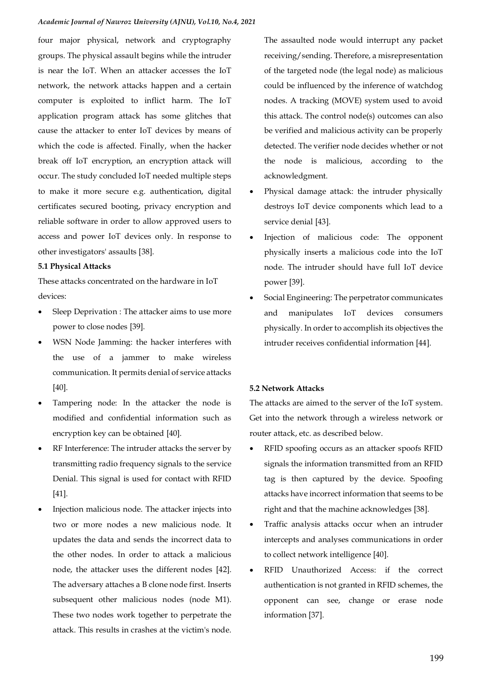four major physical, network and cryptography groups. The physical assault begins while the intruder is near the IoT. When an attacker accesses the IoT network, the network attacks happen and a certain computer is exploited to inflict harm. The IoT application program attack has some glitches that cause the attacker to enter IoT devices by means of which the code is affected. Finally, when the hacker break off IoT encryption, an encryption attack will occur. The study concluded IoT needed multiple steps to make it more secure e.g. authentication, digital certificates secured booting, privacy encryption and reliable software in order to allow approved users to access and power IoT devices only. In response to other investigators' assaults [\[38\]](#page-12-21).

### **5.1 Physical Attacks**

These attacks concentrated on the hardware in IoT devices:

- Sleep Deprivation : The attacker aims to use more power to close nodes [\[39\]](#page-12-22).
- WSN Node Jamming: the hacker interferes with the use of a jammer to make wireless communication. It permits denial of service attacks [\[40\]](#page-12-23).
- Tampering node: In the attacker the node is modified and confidential information such as encryption key can be obtained [\[40\]](#page-12-23).
- RF Interference: The intruder attacks the server by transmitting radio frequency signals to the service Denial. This signal is used for contact with RFID [\[41\]](#page-12-24).
- Injection malicious node. The attacker injects into two or more nodes a new malicious node. It updates the data and sends the incorrect data to the other nodes. In order to attack a malicious node, the attacker uses the different nodes [\[42\]](#page-12-25). The adversary attaches a B clone node first. Inserts subsequent other malicious nodes (node M1). These two nodes work together to perpetrate the attack. This results in crashes at the victim's node.

The assaulted node would interrupt any packet receiving/sending. Therefore, a misrepresentation of the targeted node (the legal node) as malicious could be influenced by the inference of watchdog nodes. A tracking (MOVE) system used to avoid this attack. The control node(s) outcomes can also be verified and malicious activity can be properly detected. The verifier node decides whether or not the node is malicious, according to the acknowledgment.

- Physical damage attack: the intruder physically destroys IoT device components which lead to a service denial [\[43\]](#page-12-26).
- Injection of malicious code: The opponent physically inserts a malicious code into the IoT node. The intruder should have full IoT device power [\[39\]](#page-12-22).
- Social Engineering: The perpetrator communicates and manipulates IoT devices consumers physically. In order to accomplish its objectives the intruder receives confidential information [\[44\]](#page-13-0).

# **5.2 Network Attacks**

The attacks are aimed to the server of the IoT system. Get into the network through a wireless network or router attack, etc. as described below.

- RFID spoofing occurs as an attacker spoofs RFID signals the information transmitted from an RFID tag is then captured by the device. Spoofing attacks have incorrect information that seems to be right and that the machine acknowledges [\[38\]](#page-12-21).
- Traffic analysis attacks occur when an intruder intercepts and analyses communications in order to collect network intelligence [\[40\]](#page-12-23).
- RFID Unauthorized Access: if the correct authentication is not granted in RFID schemes, the opponent can see, change or erase node information [\[37\]](#page-12-20).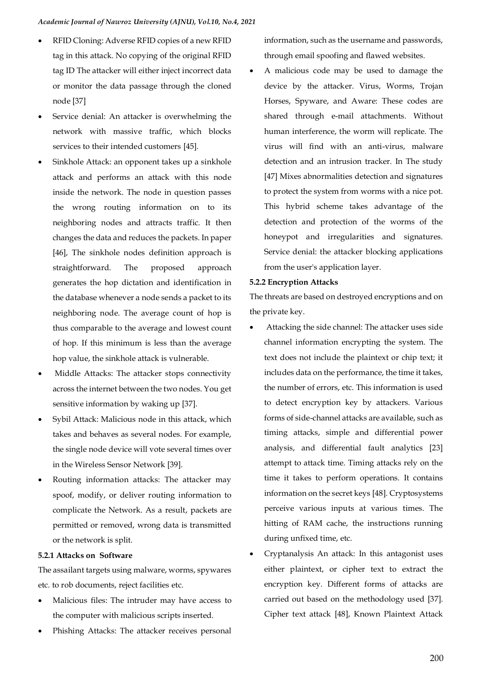- RFID Cloning: Adverse RFID copies of a new RFID tag in this attack. No copying of the original RFID tag ID The attacker will either inject incorrect data or monitor the data passage through the cloned node [\[37\]](#page-12-20)
- Service denial: An attacker is overwhelming the network with massive traffic, which blocks services to their intended customers [\[45\]](#page-13-1).
- Sinkhole Attack: an opponent takes up a sinkhole attack and performs an attack with this node inside the network. The node in question passes the wrong routing information on to its neighboring nodes and attracts traffic. It then changes the data and reduces the packets. In paper [\[46\]](#page-13-2), The sinkhole nodes definition approach is straightforward. The proposed approach generates the hop dictation and identification in the database whenever a node sends a packet to its neighboring node. The average count of hop is thus comparable to the average and lowest count of hop. If this minimum is less than the average hop value, the sinkhole attack is vulnerable.
- Middle Attacks: The attacker stops connectivity across the internet between the two nodes. You get sensitive information by waking up [\[37\]](#page-12-20).
- Sybil Attack: Malicious node in this attack, which takes and behaves as several nodes. For example, the single node device will vote several times over in the Wireless Sensor Network [\[39\]](#page-12-22).
- Routing information attacks: The attacker may spoof, modify, or deliver routing information to complicate the Network. As a result, packets are permitted or removed, wrong data is transmitted or the network is split.

#### **5.2.1 Attacks on Software**

The assailant targets using malware, worms, spywares etc. to rob documents, reject facilities etc.

- Malicious files: The intruder may have access to the computer with malicious scripts inserted.
- Phishing Attacks: The attacker receives personal

information, such as the username and passwords, through email spoofing and flawed websites.

• A malicious code may be used to damage the device by the attacker. Virus, Worms, Trojan Horses, Spyware, and Aware: These codes are shared through e-mail attachments. Without human interference, the worm will replicate. The virus will find with an anti-virus, malware detection and an intrusion tracker. In The study [\[47\]](#page-13-3) Mixes abnormalities detection and signatures to protect the system from worms with a nice pot. This hybrid scheme takes advantage of the detection and protection of the worms of the honeypot and irregularities and signatures. Service denial: the attacker blocking applications from the user's application layer.

### **5.2.2 Encryption Attacks**

The threats are based on destroyed encryptions and on the private key.

- Attacking the side channel: The attacker uses side channel information encrypting the system. The text does not include the plaintext or chip text; it includes data on the performance, the time it takes, the number of errors, etc. This information is used to detect encryption key by attackers. Various forms of side-channel attacks are available, such as timing attacks, simple and differential power analysis, and differential fault analytics [23] attempt to attack time. Timing attacks rely on the time it takes to perform operations. It contains information on the secret keys [\[48\]](#page-13-4). Cryptosystems perceive various inputs at various times. The hitting of RAM cache, the instructions running during unfixed time, etc.
- Cryptanalysis An attack: In this antagonist uses either plaintext, or cipher text to extract the encryption key. Different forms of attacks are carried out based on the methodology used [\[37\]](#page-12-20). Cipher text attack [\[48\]](#page-13-4), Known Plaintext Attack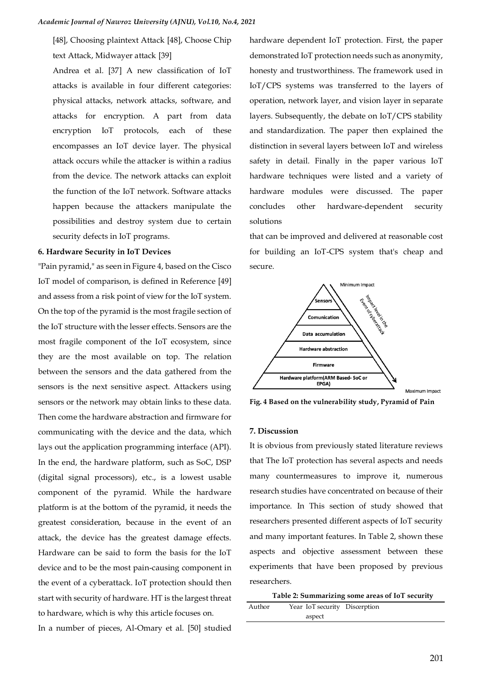[\[48\]](#page-13-4), Choosing plaintext Attack [\[48\]](#page-13-4), Choose Chip text Attack, Midwayer attack [\[39\]](#page-12-22)

Andrea et al. [\[37\]](#page-12-20) A new classification of IoT attacks is available in four different categories: physical attacks, network attacks, software, and attacks for encryption. A part from data encryption IoT protocols, each of these encompasses an IoT device layer. The physical attack occurs while the attacker is within a radius from the device. The network attacks can exploit the function of the IoT network. Software attacks happen because the attackers manipulate the possibilities and destroy system due to certain security defects in IoT programs.

#### **6. Hardware Security in IoT Devices**

"Pain pyramid," as seen in Figure 4, based on the Cisco IoT model of comparison, is defined in Reference [\[49\]](#page-13-5) and assess from a risk point of view for the IoT system. On the top of the pyramid is the most fragile section of the IoT structure with the lesser effects. Sensors are the most fragile component of the IoT ecosystem, since they are the most available on top. The relation between the sensors and the data gathered from the sensors is the next sensitive aspect. Attackers using sensors or the network may obtain links to these data. Then come the hardware abstraction and firmware for communicating with the device and the data, which lays out the application programming interface (API). In the end, the hardware platform, such as SoC, DSP (digital signal processors), etc., is a lowest usable component of the pyramid. While the hardware platform is at the bottom of the pyramid, it needs the greatest consideration, because in the event of an attack, the device has the greatest damage effects. Hardware can be said to form the basis for the IoT device and to be the most pain-causing component in the event of a cyberattack. IoT protection should then start with security of hardware. HT is the largest threat to hardware, which is why this article focuses on.

In a number of pieces, Al-Omary et al. [\[50\]](#page-13-6) studied

hardware dependent IoT protection. First, the paper demonstrated IoT protection needs such as anonymity, honesty and trustworthiness. The framework used in IoT/CPS systems was transferred to the layers of operation, network layer, and vision layer in separate layers. Subsequently, the debate on IoT/CPS stability and standardization. The paper then explained the distinction in several layers between IoT and wireless safety in detail. Finally in the paper various IoT hardware techniques were listed and a variety of hardware modules were discussed. The paper concludes other hardware-dependent security solutions

that can be improved and delivered at reasonable cost for building an IoT-CPS system that's cheap and secure.



**Fig. 4 Based on the vulnerability study, Pyramid of Pain**

## **7. Discussion**

It is obvious from previously stated literature reviews that The IoT protection has several aspects and needs many countermeasures to improve it, numerous research studies have concentrated on because of their importance. In This section of study showed that researchers presented different aspects of IoT security and many important features. In Table 2, shown these aspects and objective assessment between these experiments that have been proposed by previous researchers.

| Table 2: Summarizing some areas of IoT security |  |  |
|-------------------------------------------------|--|--|
|                                                 |  |  |

Author Year IoT security Discerptionaspect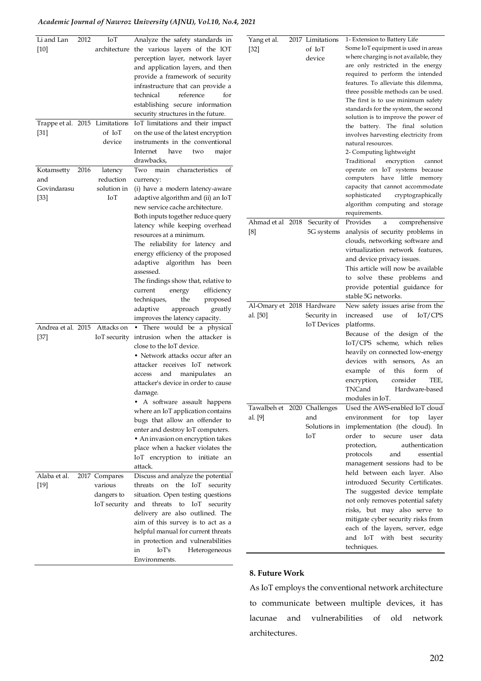# *Academic Journal of Nawroz University (AJNU), Vol.10, No.4, 2021*

| Li and Lan<br>$[10]$                       | 2012 | IoT                                                    | Analyze the safety standards in<br>architecture the various layers of the IOT<br>perception layer, network layer<br>and application layers, and then<br>provide a framework of security<br>infrastructure that can provide a<br>reference<br>technical<br>for<br>establishing secure information<br>security structures in the future.                           | Yang et al.<br>$[32]$        | 2017 |
|--------------------------------------------|------|--------------------------------------------------------|------------------------------------------------------------------------------------------------------------------------------------------------------------------------------------------------------------------------------------------------------------------------------------------------------------------------------------------------------------------|------------------------------|------|
| Trappe et al. 2015 Limitations<br>$[31]$   |      | of IoT<br>device                                       | IoT limitations and their impact<br>on the use of the latest encryption<br>instruments in the conventional<br>Internet<br>have<br>major<br>two<br>drawbacks.                                                                                                                                                                                                     |                              |      |
| Kotamsetty<br>and<br>Govindarasu<br>$[33]$ | 2016 | latency<br>reduction<br>solution in<br>IоT             | main<br>characteristics<br>Two<br>οf<br>currency:<br>(i) have a modern latency-aware<br>adaptive algorithm and (ii) an IoT<br>new service cache architecture.<br>Both inputs together reduce query                                                                                                                                                               |                              |      |
|                                            |      |                                                        | latency while keeping overhead<br>resources at a minimum.<br>The reliability for latency and<br>energy efficiency of the proposed<br>adaptive algorithm has been<br>assessed.<br>The findings show that, relative to<br>efficiency<br>current<br>energy<br>techniques,<br>proposed<br>the                                                                        | Ahmad et al 2018<br>[8]      |      |
|                                            |      |                                                        | adaptive<br>approach<br>greatly<br>improves the latency capacity.                                                                                                                                                                                                                                                                                                | Al-Omary et 2018<br>al. [50] |      |
| Andrea et al. 2015<br>[37]                 |      | Attacks on                                             | • There would be a physical<br>IoT security intrusion when the attacker is<br>close to the IoT device.<br>• Network attacks occur after an<br>attacker receives IoT network<br>manipulates<br>and<br>access<br>an<br>attacker's device in order to cause<br>damage.                                                                                              |                              |      |
|                                            |      |                                                        | • A software assault happens<br>where an IoT application contains<br>bugs that allow an offender to<br>enter and destroy IoT computers.<br>• An invasion on encryption takes<br>place when a hacker violates the<br>IoT encryption to initiate an<br>attack.                                                                                                     | Tawalbeh et 2020<br>al. [9]  |      |
| Alaba et al.<br>$[19]$                     |      | 2017 Compares<br>various<br>dangers to<br>IoT security | Discuss and analyze the potential<br>the<br>IoT<br>threats<br>on<br>security<br>situation. Open testing questions<br>threats<br>IoT<br>and<br>to<br>security<br>delivery are also outlined. The<br>aim of this survey is to act as a<br>helpful manual for current threats<br>in protection and vulnerabilities<br>IoT's<br>in<br>Heterogeneous<br>Environments. |                              |      |

| ing et al. | 2017 Limitations            | 1- Extension to Battery Life          |
|------------|-----------------------------|---------------------------------------|
| 2]         | of IoT                      | Some IoT equipment is used in areas   |
|            | device                      | where charging is not available, they |
|            |                             | are only restricted in the energy     |
|            |                             | required to perform the intended      |
|            |                             | features. To alleviate this dilemma,  |
|            |                             | three possible methods can be used.   |
|            |                             | The first is to use minimum safety    |
|            |                             | standards for the system, the second  |
|            |                             | solution is to improve the power of   |
|            |                             | The final solution<br>the<br>battery. |
|            |                             |                                       |
|            |                             | involves harvesting electricity from  |
|            |                             | natural resources.                    |
|            |                             | 2- Computing lightweight              |
|            |                             | Traditional<br>encryption<br>cannot   |
|            |                             | operate on IoT systems because        |
|            |                             | computers have little memory          |
|            |                             | capacity that cannot accommodate      |
|            |                             | sophisticated<br>cryptographically    |
|            |                             | algorithm computing and storage       |
|            |                             | requirements.                         |
|            | hmad et al 2018 Security of | Provides<br>comprehensive<br>a        |
|            | 5G systems                  | analysis of security problems in      |
|            |                             | clouds, networking software and       |
|            |                             |                                       |
|            |                             | virtualization network features,      |
|            |                             | and device privacy issues.            |
|            |                             | This article will now be available    |
|            |                             | to solve these problems and           |
|            |                             | provide potential guidance for        |
|            |                             | stable 5G networks.                   |
|            | -Omary et 2018 Hardware     | New safety issues arise from the      |
| [50]       | Security in                 | of<br>IoT/CPS<br>increased<br>use     |
|            | <b>IoT</b> Devices          | platforms.                            |
|            |                             |                                       |
|            |                             | Because of the design of the          |
|            |                             | IoT/CPS scheme, which relies          |
|            |                             | heavily on connected low-energy       |
|            |                             | devices with sensors, As<br>an        |
|            |                             | example<br>οf<br>this form<br>οf      |
|            |                             | consider<br>TEE,<br>encryption,       |
|            |                             | TNCand<br>Hardware-based              |
|            |                             | modules in IoT.                       |
|            |                             |                                       |
|            | walbeh et 2020 Challenges   | Used the AWS-enabled IoT cloud        |
| [9]        | and                         | environment<br>for<br>top<br>layer    |
|            | Solutions in                | implementation (the cloud). In        |
|            | IоT                         | order<br>to<br>secure<br>user<br>data |
|            |                             | authentication<br>protection,         |
|            |                             | and<br>essential<br>protocols         |
|            |                             | management sessions had to be         |
|            |                             | held between each layer. Also         |
|            |                             |                                       |
|            |                             | introduced Security Certificates.     |
|            |                             | The suggested device template         |
|            |                             | not only removes potential safety     |
|            |                             | risks, but may also serve to          |
|            |                             | mitigate cyber security risks from    |
|            |                             | each of the layers, server, edge      |
|            |                             | IoT with<br>best<br>and<br>security   |
|            |                             | techniques.                           |
|            |                             |                                       |

# **8. Future Work**

As IoT employs the conventional network architecture to communicate between multiple devices, it has lacunae and vulnerabilities of old network architectures.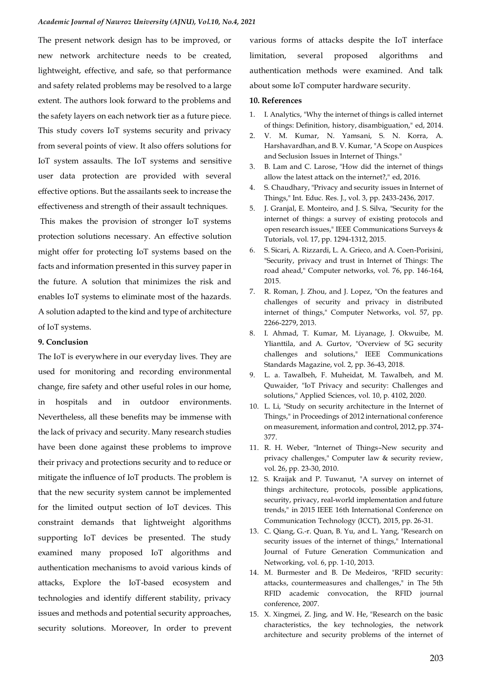The present network design has to be improved, or new network architecture needs to be created, lightweight, effective, and safe, so that performance and safety related problems may be resolved to a large extent. The authors look forward to the problems and the safety layers on each network tier as a future piece. This study covers IoT systems security and privacy from several points of view. It also offers solutions for IoT system assaults. The IoT systems and sensitive user data protection are provided with several effective options. But the assailants seek to increase the effectiveness and strength of their assault techniques.

This makes the provision of stronger IoT systems protection solutions necessary. An effective solution might offer for protecting IoT systems based on the facts and information presented in this survey paper in the future. A solution that minimizes the risk and enables IoT systems to eliminate most of the hazards. A solution adapted to the kind and type of architecture of IoT systems.

### **9. Conclusion**

The IoT is everywhere in our everyday lives. They are used for monitoring and recording environmental change, fire safety and other useful roles in our home, in hospitals and in outdoor environments. Nevertheless, all these benefits may be immense with the lack of privacy and security. Many research studies have been done against these problems to improve their privacy and protections security and to reduce or mitigate the influence of IoT products. The problem is that the new security system cannot be implemented for the limited output section of IoT devices. This constraint demands that lightweight algorithms supporting IoT devices be presented. The study examined many proposed IoT algorithms and authentication mechanisms to avoid various kinds of attacks, Explore the IoT-based ecosystem and technologies and identify different stability, privacy issues and methods and potential security approaches, security solutions. Moreover, In order to prevent various forms of attacks despite the IoT interface limitation, several proposed algorithms and authentication methods were examined. And talk about some IoT computer hardware security.

#### **10. References**

- <span id="page-11-0"></span>1. I. Analytics, "Why the internet of things is called internet of things: Definition, history, disambiguation," ed, 2014.
- <span id="page-11-1"></span>2. V. M. Kumar, N. Yamsani, S. N. Korra, A. Harshavardhan, and B. V. Kumar, "A Scope on Auspices and Seclusion Issues in Internet of Things."
- <span id="page-11-2"></span>3. B. Lam and C. Larose, "How did the internet of things allow the latest attack on the internet?," ed, 2016.
- <span id="page-11-3"></span>4. S. Chaudhary, "Privacy and security issues in Internet of Things," Int. Educ. Res. J., vol. 3, pp. 2433-2436, 2017.
- <span id="page-11-12"></span>5. J. Granjal, E. Monteiro, and J. S. Silva, "Security for the internet of things: a survey of existing protocols and open research issues," IEEE Communications Surveys & Tutorials, vol. 17, pp. 1294-1312, 2015.
- <span id="page-11-13"></span>6. S. Sicari, A. Rizzardi, L. A. Grieco, and A. Coen-Porisini, "Security, privacy and trust in Internet of Things: The road ahead," Computer networks, vol. 76, pp. 146-164, 2015.
- <span id="page-11-14"></span>7. R. Roman, J. Zhou, and J. Lopez, "On the features and challenges of security and privacy in distributed internet of things," Computer Networks, vol. 57, pp. 2266-2279, 2013.
- <span id="page-11-4"></span>8. I. Ahmad, T. Kumar, M. Liyanage, J. Okwuibe, M. Ylianttila, and A. Gurtov, "Overview of 5G security challenges and solutions," IEEE Communications Standards Magazine, vol. 2, pp. 36-43, 2018.
- <span id="page-11-5"></span>9. L. a. Tawalbeh, F. Muheidat, M. Tawalbeh, and M. Quwaider, "IoT Privacy and security: Challenges and solutions," Applied Sciences, vol. 10, p. 4102, 2020.
- <span id="page-11-6"></span>10. L. Li, "Study on security architecture in the Internet of Things," in Proceedings of 2012 international conference on measurement, information and control, 2012, pp. 374- 377.
- <span id="page-11-7"></span>11. R. H. Weber, "Internet of Things–New security and privacy challenges," Computer law & security review, vol. 26, pp. 23-30, 2010.
- <span id="page-11-8"></span>12. S. Kraijak and P. Tuwanut, "A survey on internet of things architecture, protocols, possible applications, security, privacy, real-world implementation and future trends," in 2015 IEEE 16th International Conference on Communication Technology (ICCT), 2015, pp. 26-31.
- <span id="page-11-9"></span>13. C. Qiang, G.-r. Quan, B. Yu, and L. Yang, "Research on security issues of the internet of things," International Journal of Future Generation Communication and Networking, vol. 6, pp. 1-10, 2013.
- <span id="page-11-10"></span>14. M. Burmester and B. De Medeiros, "RFID security: attacks, countermeasures and challenges," in The 5th RFID academic convocation, the RFID journal conference, 2007.
- <span id="page-11-11"></span>15. X. Xingmei, Z. Jing, and W. He, "Research on the basic characteristics, the key technologies, the network architecture and security problems of the internet of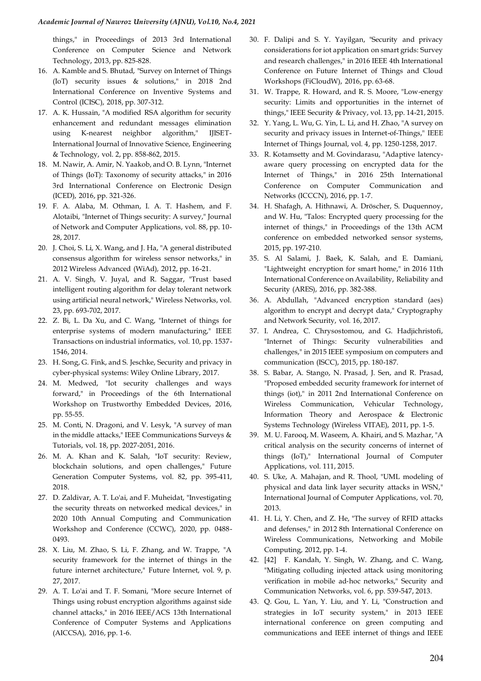things," in Proceedings of 2013 3rd International Conference on Computer Science and Network Technology, 2013, pp. 825-828.

- <span id="page-12-0"></span>16. A. Kamble and S. Bhutad, "Survey on Internet of Things (IoT) security issues & solutions," in 2018 2nd International Conference on Inventive Systems and Control (ICISC), 2018, pp. 307-312.
- <span id="page-12-1"></span>17. A. K. Hussain, "A modified RSA algorithm for security enhancement and redundant messages elimination using K-nearest neighbor algorithm," IJISET-International Journal of Innovative Science, Engineering & Technology, vol. 2, pp. 858-862, 2015.
- 18. M. Nawir, A. Amir, N. Yaakob, and O. B. Lynn, "Internet of Things (IoT): Taxonomy of security attacks," in 2016 3rd International Conference on Electronic Design (ICED), 2016, pp. 321-326.
- <span id="page-12-6"></span>19. F. A. Alaba, M. Othman, I. A. T. Hashem, and F. Alotaibi, "Internet of Things security: A survey," Journal of Network and Computer Applications, vol. 88, pp. 10- 28, 2017.
- <span id="page-12-2"></span>20. J. Choi, S. Li, X. Wang, and J. Ha, "A general distributed consensus algorithm for wireless sensor networks," in 2012 Wireless Advanced (WiAd), 2012, pp. 16-21.
- <span id="page-12-3"></span>21. A. V. Singh, V. Juyal, and R. Saggar, "Trust based intelligent routing algorithm for delay tolerant network using artificial neural network," Wireless Networks, vol. 23, pp. 693-702, 2017.
- <span id="page-12-4"></span>22. Z. Bi, L. Da Xu, and C. Wang, "Internet of things for enterprise systems of modern manufacturing," IEEE Transactions on industrial informatics, vol. 10, pp. 1537- 1546, 2014.
- <span id="page-12-5"></span>23. H. Song, G. Fink, and S. Jeschke, Security and privacy in cyber-physical systems: Wiley Online Library, 2017.
- <span id="page-12-7"></span>24. M. Medwed, "Iot security challenges and ways forward," in Proceedings of the 6th International Workshop on Trustworthy Embedded Devices, 2016, pp. 55-55.
- <span id="page-12-8"></span>25. M. Conti, N. Dragoni, and V. Lesyk, "A survey of man in the middle attacks," IEEE Communications Surveys & Tutorials, vol. 18, pp. 2027-2051, 2016.
- <span id="page-12-9"></span>26. M. A. Khan and K. Salah, "IoT security: Review, blockchain solutions, and open challenges," Future Generation Computer Systems, vol. 82, pp. 395-411, 2018.
- <span id="page-12-10"></span>27. D. Zaldivar, A. T. Lo'ai, and F. Muheidat, "Investigating the security threats on networked medical devices," in 2020 10th Annual Computing and Communication Workshop and Conference (CCWC), 2020, pp. 0488- 0493.
- <span id="page-12-11"></span>28. X. Liu, M. Zhao, S. Li, F. Zhang, and W. Trappe, "A security framework for the internet of things in the future internet architecture," Future Internet, vol. 9, p. 27, 2017.
- <span id="page-12-12"></span>29. A. T. Lo'ai and T. F. Somani, "More secure Internet of Things using robust encryption algorithms against side channel attacks," in 2016 IEEE/ACS 13th International Conference of Computer Systems and Applications (AICCSA), 2016, pp. 1-6.
- <span id="page-12-13"></span>30. F. Dalipi and S. Y. Yayilgan, "Security and privacy considerations for iot application on smart grids: Survey and research challenges," in 2016 IEEE 4th International Conference on Future Internet of Things and Cloud Workshops (FiCloudW), 2016, pp. 63-68.
- <span id="page-12-14"></span>31. W. Trappe, R. Howard, and R. S. Moore, "Low-energy security: Limits and opportunities in the internet of things," IEEE Security & Privacy, vol. 13, pp. 14-21, 2015.
- <span id="page-12-15"></span>32. Y. Yang, L. Wu, G. Yin, L. Li, and H. Zhao, "A survey on security and privacy issues in Internet-of-Things," IEEE Internet of Things Journal, vol. 4, pp. 1250-1258, 2017.
- <span id="page-12-16"></span>33. R. Kotamsetty and M. Govindarasu, "Adaptive latencyaware query processing on encrypted data for the Internet of Things," in 2016 25th International Conference on Computer Communication and Networks (ICCCN), 2016, pp. 1-7.
- <span id="page-12-17"></span>34. H. Shafagh, A. Hithnawi, A. Dröscher, S. Duquennoy, and W. Hu, "Talos: Encrypted query processing for the internet of things," in Proceedings of the 13th ACM conference on embedded networked sensor systems, 2015, pp. 197-210.
- <span id="page-12-18"></span>35. S. Al Salami, J. Baek, K. Salah, and E. Damiani, "Lightweight encryption for smart home," in 2016 11th International Conference on Availability, Reliability and Security (ARES), 2016, pp. 382-388.
- <span id="page-12-19"></span>36. A. Abdullah, "Advanced encryption standard (aes) algorithm to encrypt and decrypt data," Cryptography and Network Security, vol. 16, 2017.
- <span id="page-12-20"></span>37. I. Andrea, C. Chrysostomou, and G. Hadjichristofi, "Internet of Things: Security vulnerabilities and challenges," in 2015 IEEE symposium on computers and communication (ISCC), 2015, pp. 180-187.
- <span id="page-12-21"></span>38. S. Babar, A. Stango, N. Prasad, J. Sen, and R. Prasad, "Proposed embedded security framework for internet of things (iot)," in 2011 2nd International Conference on Wireless Communication, Vehicular Technology, Information Theory and Aerospace & Electronic Systems Technology (Wireless VITAE), 2011, pp. 1-5.
- <span id="page-12-22"></span>39. M. U. Farooq, M. Waseem, A. Khairi, and S. Mazhar, "A critical analysis on the security concerns of internet of things (IoT)," International Journal of Computer Applications, vol. 111, 2015.
- <span id="page-12-23"></span>40. S. Uke, A. Mahajan, and R. Thool, "UML modeling of physical and data link layer security attacks in WSN," International Journal of Computer Applications, vol. 70, 2013.
- <span id="page-12-24"></span>41. H. Li, Y. Chen, and Z. He, "The survey of RFID attacks and defenses," in 2012 8th International Conference on Wireless Communications, Networking and Mobile Computing, 2012, pp. 1-4.
- <span id="page-12-25"></span>42. [42] F. Kandah, Y. Singh, W. Zhang, and C. Wang, "Mitigating colluding injected attack using monitoring verification in mobile ad‐hoc networks," Security and Communication Networks, vol. 6, pp. 539-547, 2013.
- <span id="page-12-26"></span>43. Q. Gou, L. Yan, Y. Liu, and Y. Li, "Construction and strategies in IoT security system," in 2013 IEEE international conference on green computing and communications and IEEE internet of things and IEEE